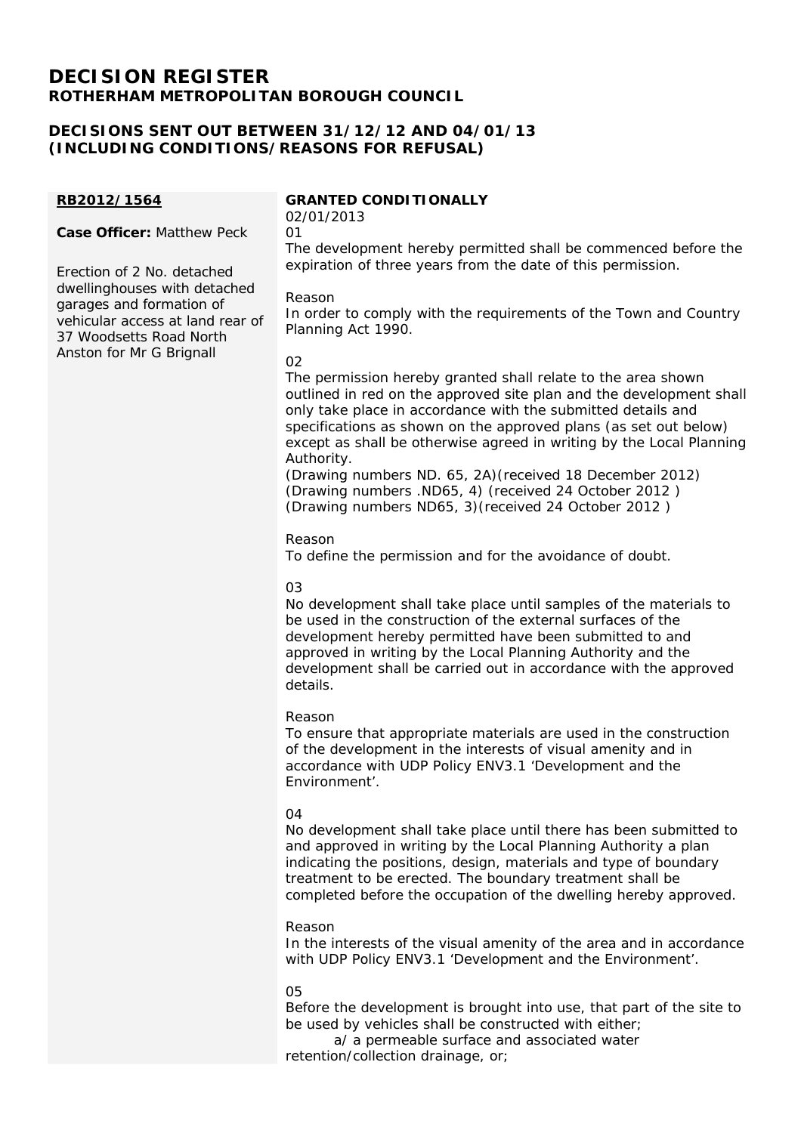# **DECISION REGISTER ROTHERHAM METROPOLITAN BOROUGH COUNCIL**

# **DECISIONS SENT OUT BETWEEN 31/12/12 AND 04/01/13 (INCLUDING CONDITIONS/REASONS FOR REFUSAL)**

## **RB2012/1564**

**Case Officer:** Matthew Peck

Erection of 2 No. detached dwellinghouses with detached garages and formation of vehicular access at land rear of 37 Woodsetts Road North Anston for Mr G Brignall

## **GRANTED CONDITIONALLY**

02/01/2013 01

The development hereby permitted shall be commenced before the expiration of three years from the date of this permission.

## Reason

In order to comply with the requirements of the Town and Country Planning Act 1990.

## 02

The permission hereby granted shall relate to the area shown outlined in red on the approved site plan and the development shall only take place in accordance with the submitted details and specifications as shown on the approved plans (as set out below) except as shall be otherwise agreed in writing by the Local Planning Authority.

(Drawing numbers ND. 65, 2A)(received 18 December 2012) (Drawing numbers .ND65, 4) (received 24 October 2012 ) (Drawing numbers ND65, 3)(received 24 October 2012 )

## Reason

To define the permission and for the avoidance of doubt.

## 03

No development shall take place until samples of the materials to be used in the construction of the external surfaces of the development hereby permitted have been submitted to and approved in writing by the Local Planning Authority and the development shall be carried out in accordance with the approved details.

## Reason

To ensure that appropriate materials are used in the construction of the development in the interests of visual amenity and in accordance with UDP Policy ENV3.1 'Development and the Environment'.

## $04$

No development shall take place until there has been submitted to and approved in writing by the Local Planning Authority a plan indicating the positions, design, materials and type of boundary treatment to be erected. The boundary treatment shall be completed before the occupation of the dwelling hereby approved.

#### Reason

In the interests of the visual amenity of the area and in accordance with UDP Policy ENV3.1 'Development and the Environment'.

## 05

Before the development is brought into use, that part of the site to be used by vehicles shall be constructed with either;

 a/ a permeable surface and associated water retention/collection drainage, or;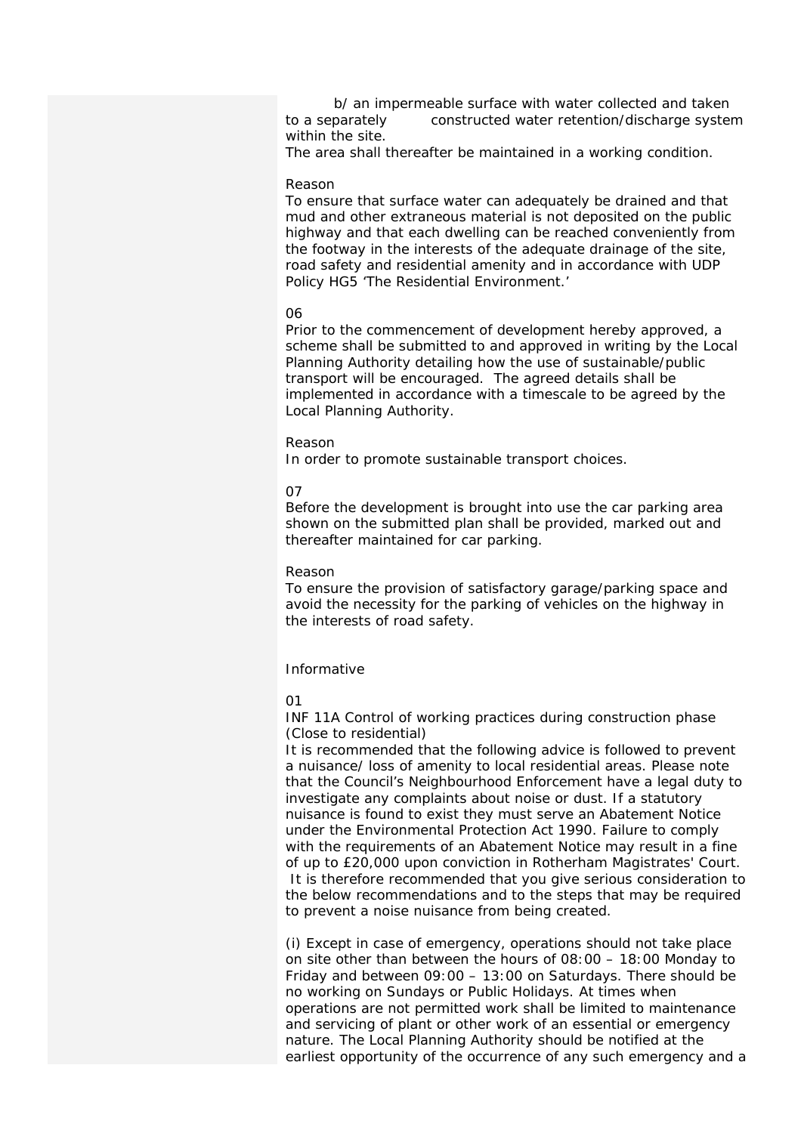b/ an impermeable surface with water collected and taken to a separately constructed water retention/discharge system within the site.

The area shall thereafter be maintained in a working condition.

#### Reason

To ensure that surface water can adequately be drained and that mud and other extraneous material is not deposited on the public highway and that each dwelling can be reached conveniently from the footway in the interests of the adequate drainage of the site, road safety and residential amenity and in accordance with UDP Policy HG5 'The Residential Environment.'

#### 06

Prior to the commencement of development hereby approved, a scheme shall be submitted to and approved in writing by the Local Planning Authority detailing how the use of sustainable/public transport will be encouraged. The agreed details shall be implemented in accordance with a timescale to be agreed by the Local Planning Authority.

#### Reason

In order to promote sustainable transport choices.

#### 07

Before the development is brought into use the car parking area shown on the submitted plan shall be provided, marked out and thereafter maintained for car parking.

#### Reason

To ensure the provision of satisfactory garage/parking space and avoid the necessity for the parking of vehicles on the highway in the interests of road safety.

## Informative

#### $01$

INF 11A Control of working practices during construction phase (Close to residential)

It is recommended that the following advice is followed to prevent a nuisance/ loss of amenity to local residential areas. Please note that the Council's Neighbourhood Enforcement have a legal duty to investigate any complaints about noise or dust. If a statutory nuisance is found to exist they must serve an Abatement Notice under the Environmental Protection Act 1990. Failure to comply with the requirements of an Abatement Notice may result in a fine of up to £20,000 upon conviction in Rotherham Magistrates' Court. It is therefore recommended that you give serious consideration to the below recommendations and to the steps that may be required to prevent a noise nuisance from being created.

(i) Except in case of emergency, operations should not take place on site other than between the hours of 08:00 – 18:00 Monday to Friday and between 09:00 – 13:00 on Saturdays. There should be no working on Sundays or Public Holidays. At times when operations are not permitted work shall be limited to maintenance and servicing of plant or other work of an essential or emergency nature. The Local Planning Authority should be notified at the earliest opportunity of the occurrence of any such emergency and a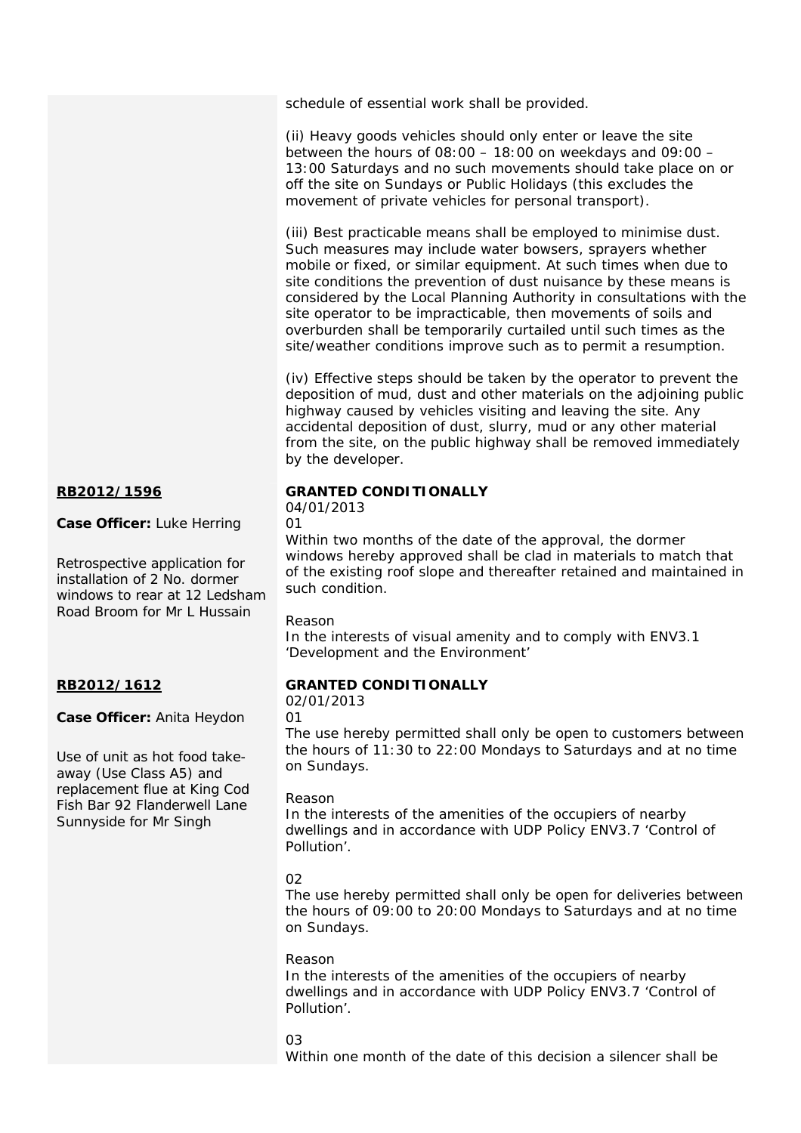schedule of essential work shall be provided.

(ii) Heavy goods vehicles should only enter or leave the site between the hours of  $08:00 - 18:00$  on weekdays and  $09:00 -$ 13:00 Saturdays and no such movements should take place on or off the site on Sundays or Public Holidays (this excludes the movement of private vehicles for personal transport).

(iii) Best practicable means shall be employed to minimise dust. Such measures may include water bowsers, sprayers whether mobile or fixed, or similar equipment. At such times when due to site conditions the prevention of dust nuisance by these means is considered by the Local Planning Authority in consultations with the site operator to be impracticable, then movements of soils and overburden shall be temporarily curtailed until such times as the site/weather conditions improve such as to permit a resumption.

(iv) Effective steps should be taken by the operator to prevent the deposition of mud, dust and other materials on the adjoining public highway caused by vehicles visiting and leaving the site. Any accidental deposition of dust, slurry, mud or any other material from the site, on the public highway shall be removed immediately by the developer.

## **GRANTED CONDITIONALLY**

04/01/2013

01

Within two months of the date of the approval, the dormer windows hereby approved shall be clad in materials to match that of the existing roof slope and thereafter retained and maintained in such condition.

## Reason

In the interests of visual amenity and to comply with ENV3.1 'Development and the Environment'

## **GRANTED CONDITIONALLY**

02/01/2013

01

The use hereby permitted shall only be open to customers between the hours of 11:30 to 22:00 Mondays to Saturdays and at no time on Sundays.

## Reason

In the interests of the amenities of the occupiers of nearby dwellings and in accordance with UDP Policy ENV3.7 'Control of Pollution'.

## 02

The use hereby permitted shall only be open for deliveries between the hours of 09:00 to 20:00 Mondays to Saturdays and at no time on Sundays.

## Reason

In the interests of the amenities of the occupiers of nearby dwellings and in accordance with UDP Policy ENV3.7 'Control of Pollution'.

## $03$

Within one month of the date of this decision a silencer shall be

## **RB2012/1596**

**Case Officer:** Luke Herring

Retrospective application for installation of 2 No. dormer windows to rear at 12 Ledsham Road Broom for Mr L Hussain

## **RB2012/1612**

**Case Officer:** Anita Heydon

Use of unit as hot food takeaway (Use Class A5) and replacement flue at King Cod Fish Bar 92 Flanderwell Lane Sunnyside for Mr Singh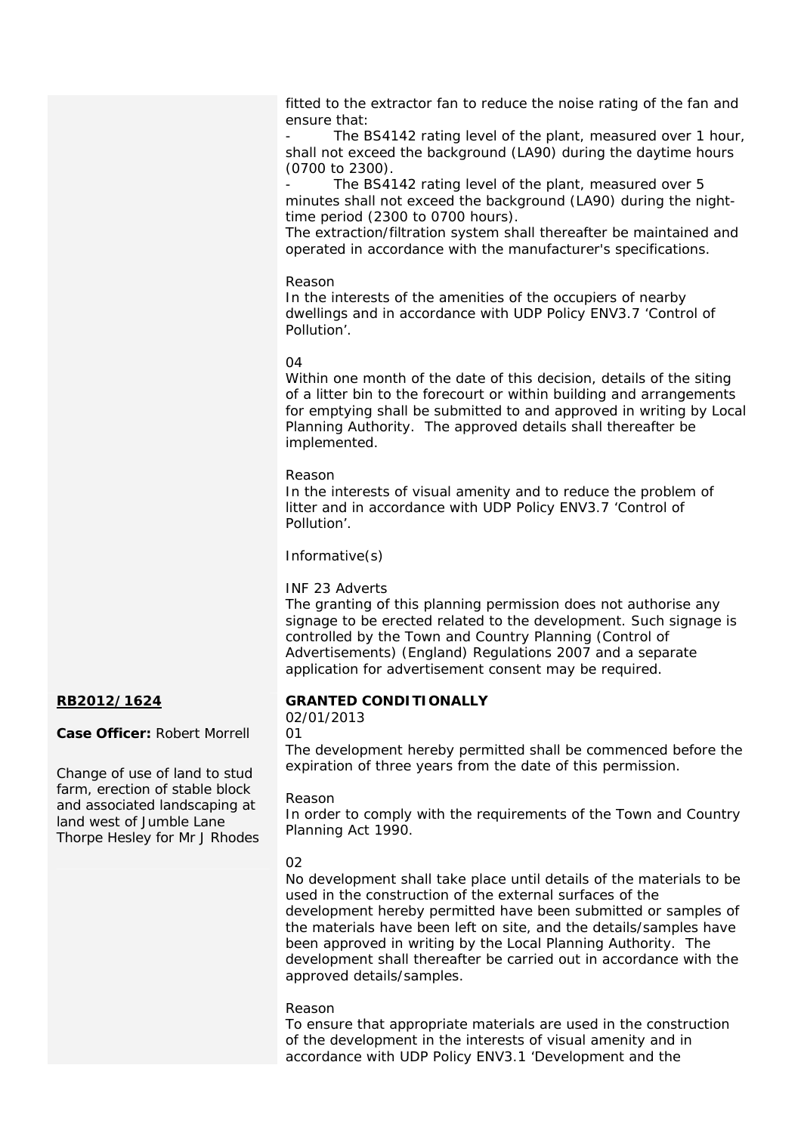fitted to the extractor fan to reduce the noise rating of the fan and ensure that:

The BS4142 rating level of the plant, measured over 1 hour, shall not exceed the background (LA90) during the daytime hours (0700 to 2300).

The BS4142 rating level of the plant, measured over 5 minutes shall not exceed the background (LA90) during the nighttime period (2300 to 0700 hours).

The extraction/filtration system shall thereafter be maintained and operated in accordance with the manufacturer's specifications.

Reason

In the interests of the amenities of the occupiers of nearby dwellings and in accordance with UDP Policy ENV3.7 'Control of Pollution'.

## 04

Within one month of the date of this decision, details of the siting of a litter bin to the forecourt or within building and arrangements for emptying shall be submitted to and approved in writing by Local Planning Authority. The approved details shall thereafter be implemented.

## Reason

In the interests of visual amenity and to reduce the problem of litter and in accordance with UDP Policy ENV3.7 'Control of Pollution'.

## Informative(s)

## INF 23 Adverts

The granting of this planning permission does not authorise any signage to be erected related to the development. Such signage is controlled by the Town and Country Planning (Control of Advertisements) (England) Regulations 2007 and a separate application for advertisement consent may be required.

## **RB2012/1624**

**Case Officer:** Robert Morrell

Change of use of land to stud farm, erection of stable block and associated landscaping at land west of Jumble Lane Thorpe Hesley for Mr J Rhodes

## **GRANTED CONDITIONALLY**

02/01/2013 01

The development hereby permitted shall be commenced before the expiration of three years from the date of this permission.

## Reason

In order to comply with the requirements of the Town and Country Planning Act 1990.

## 02

No development shall take place until details of the materials to be used in the construction of the external surfaces of the development hereby permitted have been submitted or samples of the materials have been left on site, and the details/samples have been approved in writing by the Local Planning Authority. The development shall thereafter be carried out in accordance with the approved details/samples.

## Reason

To ensure that appropriate materials are used in the construction of the development in the interests of visual amenity and in accordance with UDP Policy ENV3.1 'Development and the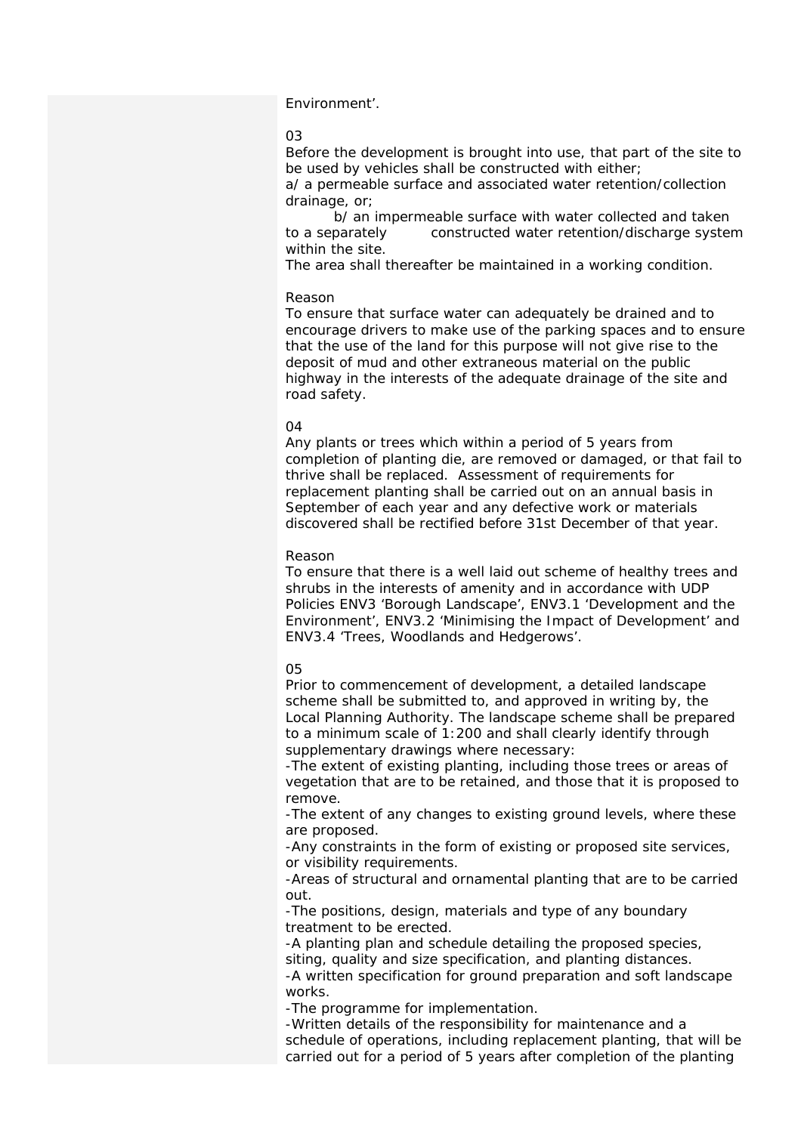#### Environment'.

#### 03

Before the development is brought into use, that part of the site to be used by vehicles shall be constructed with either;

a/ a permeable surface and associated water retention/collection drainage, or;

 b/ an impermeable surface with water collected and taken to a separately constructed water retention/discharge system within the site.

The area shall thereafter be maintained in a working condition.

#### Reason

To ensure that surface water can adequately be drained and to encourage drivers to make use of the parking spaces and to ensure that the use of the land for this purpose will not give rise to the deposit of mud and other extraneous material on the public highway in the interests of the adequate drainage of the site and road safety.

#### $\Omega$

Any plants or trees which within a period of 5 years from completion of planting die, are removed or damaged, or that fail to thrive shall be replaced. Assessment of requirements for replacement planting shall be carried out on an annual basis in September of each year and any defective work or materials discovered shall be rectified before 31st December of that year.

#### Reason

To ensure that there is a well laid out scheme of healthy trees and shrubs in the interests of amenity and in accordance with UDP Policies ENV3 'Borough Landscape', ENV3.1 'Development and the Environment', ENV3.2 'Minimising the Impact of Development' and ENV3.4 'Trees, Woodlands and Hedgerows'.

#### 05

Prior to commencement of development, a detailed landscape scheme shall be submitted to, and approved in writing by, the Local Planning Authority. The landscape scheme shall be prepared to a minimum scale of 1:200 and shall clearly identify through supplementary drawings where necessary:

-The extent of existing planting, including those trees or areas of vegetation that are to be retained, and those that it is proposed to remove.

-The extent of any changes to existing ground levels, where these are proposed.

-Any constraints in the form of existing or proposed site services, or visibility requirements.

-Areas of structural and ornamental planting that are to be carried out.

-The positions, design, materials and type of any boundary treatment to be erected.

-A planting plan and schedule detailing the proposed species, siting, quality and size specification, and planting distances.

-A written specification for ground preparation and soft landscape works.

-The programme for implementation.

-Written details of the responsibility for maintenance and a schedule of operations, including replacement planting, that will be carried out for a period of 5 years after completion of the planting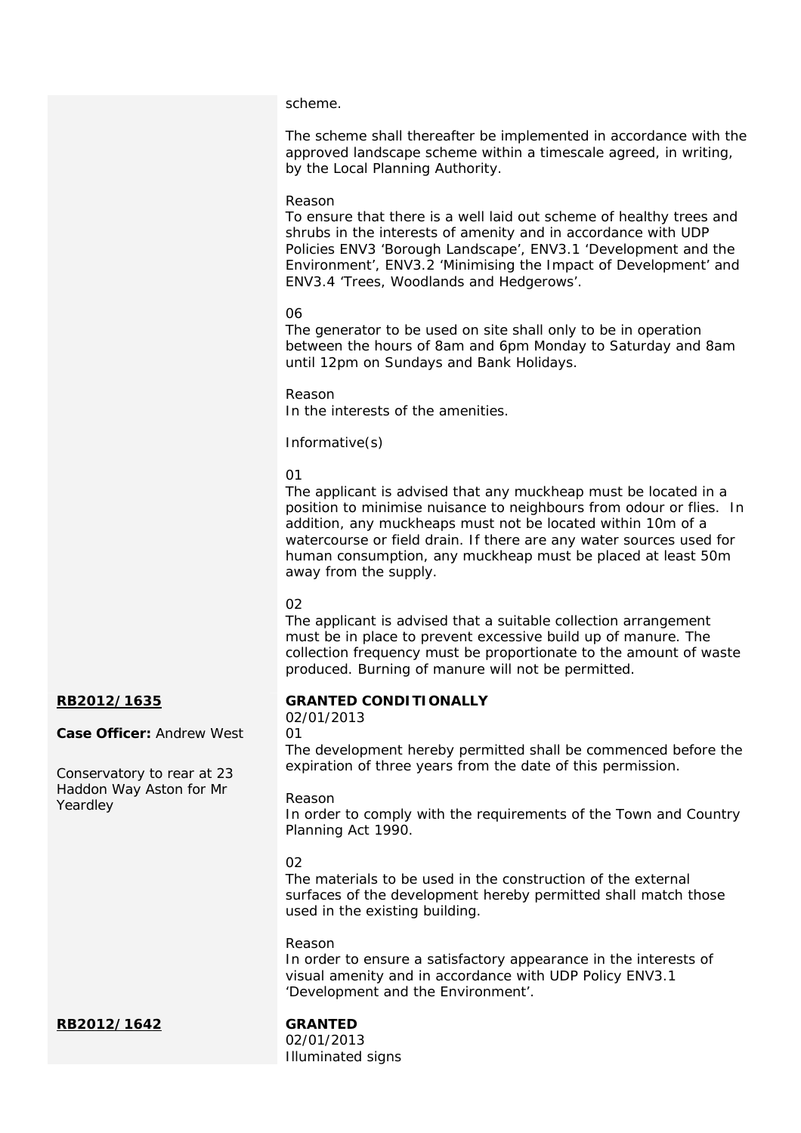#### scheme.

The scheme shall thereafter be implemented in accordance with the approved landscape scheme within a timescale agreed, in writing, by the Local Planning Authority.

#### Reason

To ensure that there is a well laid out scheme of healthy trees and shrubs in the interests of amenity and in accordance with UDP Policies ENV3 'Borough Landscape', ENV3.1 'Development and the Environment', ENV3.2 'Minimising the Impact of Development' and ENV3.4 'Trees, Woodlands and Hedgerows'.

#### 06

The generator to be used on site shall only to be in operation between the hours of 8am and 6pm Monday to Saturday and 8am until 12pm on Sundays and Bank Holidays.

Reason In the interests of the amenities.

Informative(s)

01

The applicant is advised that any muckheap must be located in a position to minimise nuisance to neighbours from odour or flies. In addition, any muckheaps must not be located within 10m of a watercourse or field drain. If there are any water sources used for human consumption, any muckheap must be placed at least 50m away from the supply.

#### $\Omega$

01

The applicant is advised that a suitable collection arrangement must be in place to prevent excessive build up of manure. The collection frequency must be proportionate to the amount of waste produced. Burning of manure will not be permitted.

## **RB2012/1635**

**Case Officer:** Andrew West

Conservatory to rear at 23 Haddon Way Aston for Mr Yeardley

#### **GRANTED CONDITIONALLY**

02/01/2013

The development hereby permitted shall be commenced before the expiration of three years from the date of this permission.

#### Reason

In order to comply with the requirements of the Town and Country Planning Act 1990.

#### $02$

The materials to be used in the construction of the external surfaces of the development hereby permitted shall match those used in the existing building.

#### Reason

In order to ensure a satisfactory appearance in the interests of visual amenity and in accordance with UDP Policy ENV3.1 'Development and the Environment'.

**RB2012/1642 GRANTED** 

02/01/2013 Illuminated signs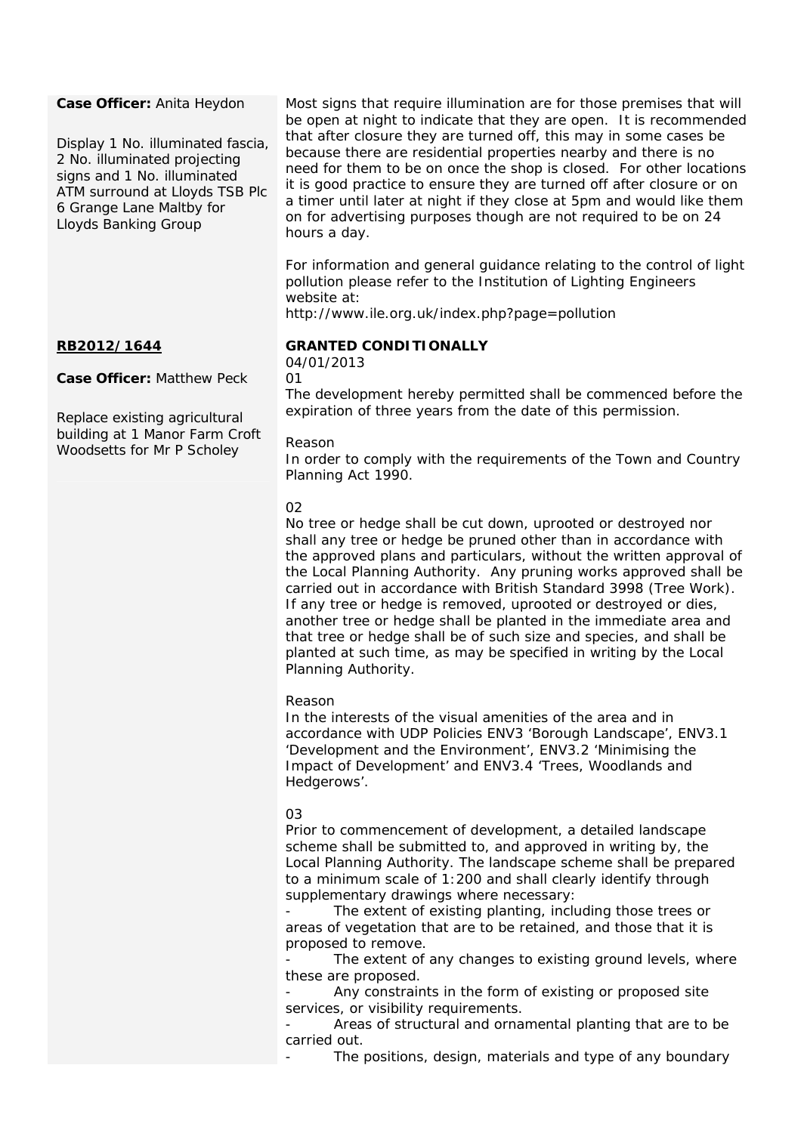### **Case Officer:** Anita Heydon

Display 1 No. illuminated fascia, 2 No. illuminated projecting signs and 1 No. illuminated ATM surround at Lloyds TSB Plc 6 Grange Lane Maltby for Lloyds Banking Group

## **RB2012/1644**

**Case Officer:** Matthew Peck

Replace existing agricultural building at 1 Manor Farm Croft Woodsetts for Mr P Scholey

Most signs that require illumination are for those premises that will be open at night to indicate that they are open. It is recommended that after closure they are turned off, this may in some cases be because there are residential properties nearby and there is no need for them to be on once the shop is closed. For other locations it is good practice to ensure they are turned off after closure or on a timer until later at night if they close at 5pm and would like them on for advertising purposes though are not required to be on 24 hours a day.

For information and general guidance relating to the control of light pollution please refer to the Institution of Lighting Engineers website at:

http://www.ile.org.uk/index.php?page=pollution

## **GRANTED CONDITIONALLY**

04/01/2013 01

The development hereby permitted shall be commenced before the expiration of three years from the date of this permission.

#### Reason

In order to comply with the requirements of the Town and Country Planning Act 1990.

## 02

No tree or hedge shall be cut down, uprooted or destroyed nor shall any tree or hedge be pruned other than in accordance with the approved plans and particulars, without the written approval of the Local Planning Authority. Any pruning works approved shall be carried out in accordance with British Standard 3998 (Tree Work). If any tree or hedge is removed, uprooted or destroyed or dies, another tree or hedge shall be planted in the immediate area and that tree or hedge shall be of such size and species, and shall be planted at such time, as may be specified in writing by the Local Planning Authority.

#### Reason

In the interests of the visual amenities of the area and in accordance with UDP Policies ENV3 'Borough Landscape', ENV3.1 'Development and the Environment', ENV3.2 'Minimising the Impact of Development' and ENV3.4 'Trees, Woodlands and Hedgerows'.

#### 03

Prior to commencement of development, a detailed landscape scheme shall be submitted to, and approved in writing by, the Local Planning Authority. The landscape scheme shall be prepared to a minimum scale of 1:200 and shall clearly identify through supplementary drawings where necessary:

The extent of existing planting, including those trees or areas of vegetation that are to be retained, and those that it is proposed to remove.

The extent of any changes to existing ground levels, where these are proposed.

Any constraints in the form of existing or proposed site services, or visibility requirements.

Areas of structural and ornamental planting that are to be carried out.

The positions, design, materials and type of any boundary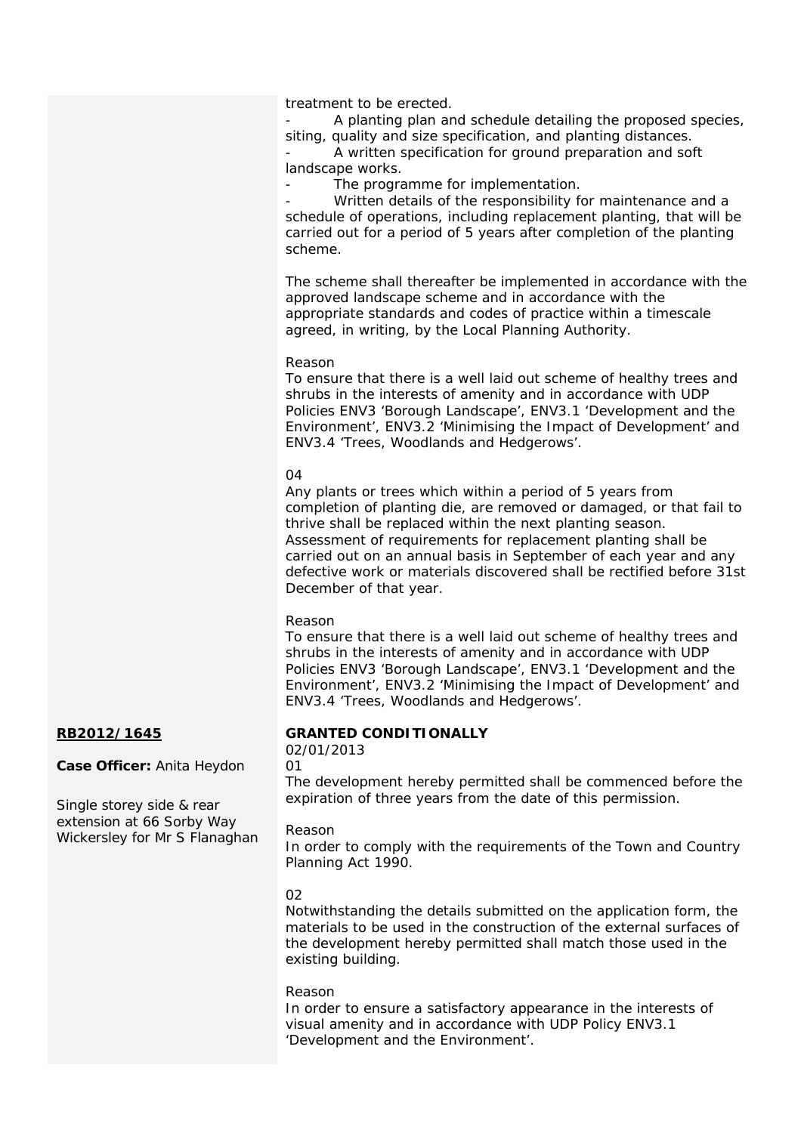treatment to be erected.

A planting plan and schedule detailing the proposed species, siting, quality and size specification, and planting distances.

A written specification for ground preparation and soft landscape works.

The programme for implementation.

Written details of the responsibility for maintenance and a schedule of operations, including replacement planting, that will be carried out for a period of 5 years after completion of the planting scheme.

The scheme shall thereafter be implemented in accordance with the approved landscape scheme and in accordance with the appropriate standards and codes of practice within a timescale agreed, in writing, by the Local Planning Authority.

#### Reason

To ensure that there is a well laid out scheme of healthy trees and shrubs in the interests of amenity and in accordance with UDP Policies ENV3 'Borough Landscape', ENV3.1 'Development and the Environment', ENV3.2 'Minimising the Impact of Development' and ENV3.4 'Trees, Woodlands and Hedgerows'.

#### 04

Any plants or trees which within a period of 5 years from completion of planting die, are removed or damaged, or that fail to thrive shall be replaced within the next planting season. Assessment of requirements for replacement planting shall be carried out on an annual basis in September of each year and any defective work or materials discovered shall be rectified before 31st December of that year.

#### Reason

To ensure that there is a well laid out scheme of healthy trees and shrubs in the interests of amenity and in accordance with UDP Policies ENV3 'Borough Landscape', ENV3.1 'Development and the Environment', ENV3.2 'Minimising the Impact of Development' and ENV3.4 'Trees, Woodlands and Hedgerows'.

## **RB2012/1645**

**Case Officer:** Anita Heydon

Single storey side & rear extension at 66 Sorby Way Wickersley for Mr S Flanaghan

## **GRANTED CONDITIONALLY**

## 02/01/2013

01

The development hereby permitted shall be commenced before the expiration of three years from the date of this permission.

#### Reason

In order to comply with the requirements of the Town and Country Planning Act 1990.

#### 02

Notwithstanding the details submitted on the application form, the materials to be used in the construction of the external surfaces of the development hereby permitted shall match those used in the existing building.

#### Reason

In order to ensure a satisfactory appearance in the interests of visual amenity and in accordance with UDP Policy ENV3.1 'Development and the Environment'.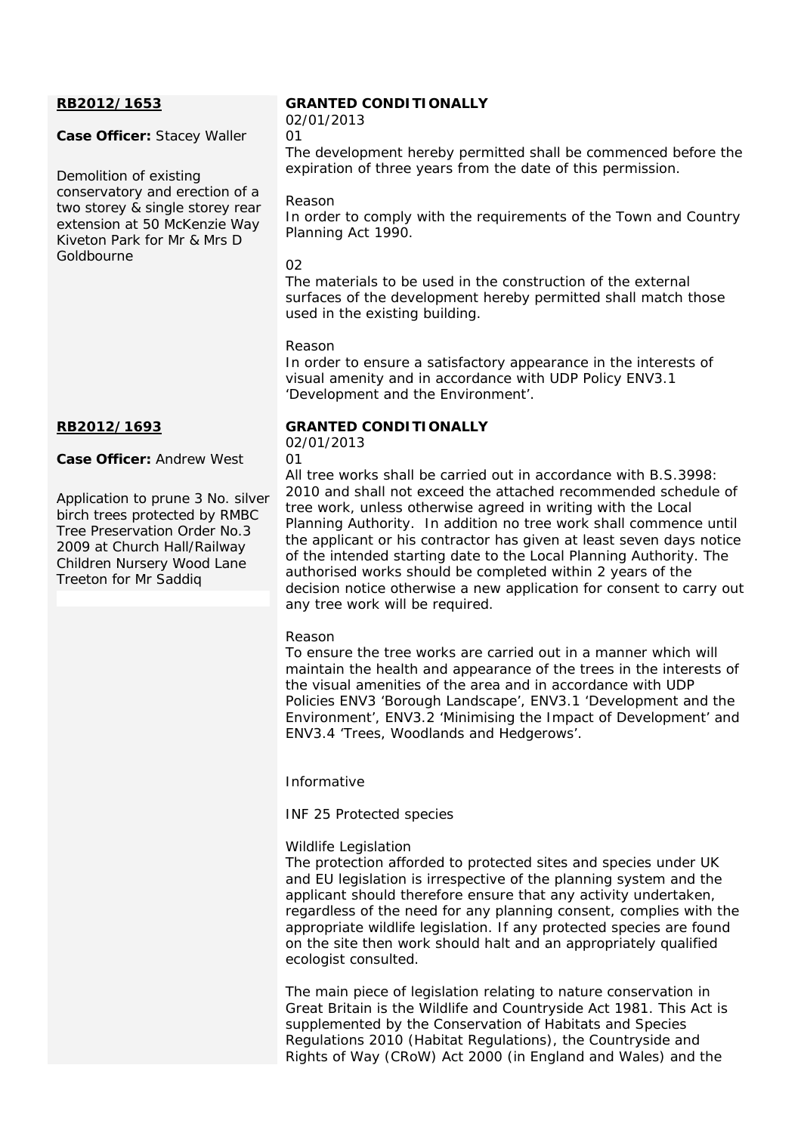## **RB2012/1653**

## **Case Officer:** Stacey Waller

Demolition of existing conservatory and erection of a two storey & single storey rear extension at 50 McKenzie Way Kiveton Park for Mr & Mrs D Goldbourne

## **RB2012/1693**

**Case Officer:** Andrew West

Application to prune 3 No. silver birch trees protected by RMBC Tree Preservation Order No.3 2009 at Church Hall/Railway Children Nursery Wood Lane Treeton for Mr Saddiq

## **GRANTED CONDITIONALLY**

02/01/2013  $\Omega$ 1

The development hereby permitted shall be commenced before the expiration of three years from the date of this permission.

### Reason

In order to comply with the requirements of the Town and Country Planning Act 1990.

### 02

The materials to be used in the construction of the external surfaces of the development hereby permitted shall match those used in the existing building.

## Reason

In order to ensure a satisfactory appearance in the interests of visual amenity and in accordance with UDP Policy ENV3.1 'Development and the Environment'.

## **GRANTED CONDITIONALLY**

02/01/2013  $\cap$ 1

All tree works shall be carried out in accordance with B.S.3998: 2010 and shall not exceed the attached recommended schedule of tree work, unless otherwise agreed in writing with the Local Planning Authority. In addition no tree work shall commence until the applicant or his contractor has given at least seven days notice of the intended starting date to the Local Planning Authority. The authorised works should be completed within 2 years of the decision notice otherwise a new application for consent to carry out any tree work will be required.

#### Reason

To ensure the tree works are carried out in a manner which will maintain the health and appearance of the trees in the interests of the visual amenities of the area and in accordance with UDP Policies ENV3 'Borough Landscape', ENV3.1 'Development and the Environment', ENV3.2 'Minimising the Impact of Development' and ENV3.4 'Trees, Woodlands and Hedgerows'.

Informative

INF 25 Protected species

## Wildlife Legislation

The protection afforded to protected sites and species under UK and EU legislation is irrespective of the planning system and the applicant should therefore ensure that any activity undertaken, regardless of the need for any planning consent, complies with the appropriate wildlife legislation. If any protected species are found on the site then work should halt and an appropriately qualified ecologist consulted.

The main piece of legislation relating to nature conservation in Great Britain is the Wildlife and Countryside Act 1981. This Act is supplemented by the Conservation of Habitats and Species Regulations 2010 (Habitat Regulations), the Countryside and Rights of Way (CRoW) Act 2000 (in England and Wales) and the